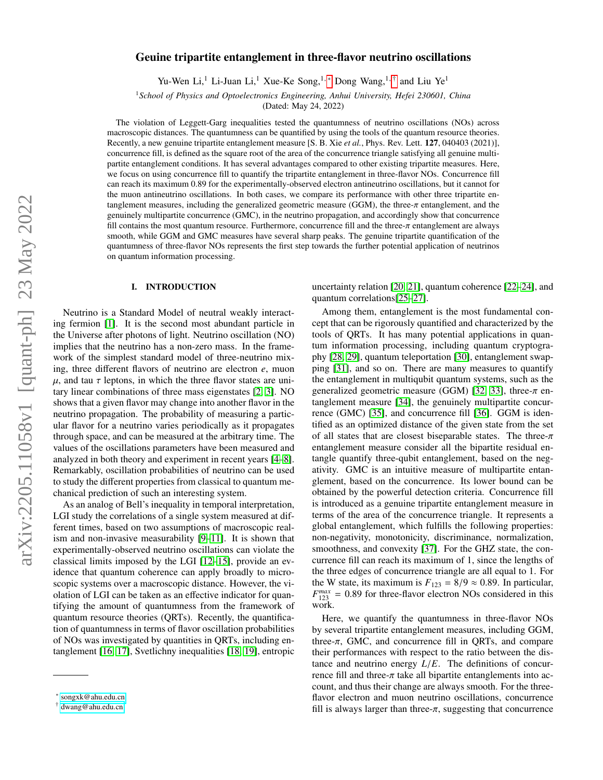# Geuine tripartite entanglement in three-flavor neutrino oscillations

Yu-Wen Li,<sup>1</sup> Li-Juan Li,<sup>1</sup> Xue-Ke Song,<sup>1,\*</sup> Dong Wang,<sup>1,[†](#page-0-1)</sup> and Liu Ye<sup>1</sup>

<sup>1</sup>*School of Physics and Optoelectronics Engineering, Anhui University, Hefei 230601, China*

(Dated: May 24, 2022)

The violation of Leggett-Garg inequalities tested the quantumness of neutrino oscillations (NOs) across macroscopic distances. The quantumness can be quantified by using the tools of the quantum resource theories. Recently, a new genuine tripartite entanglement measure [S. B. Xie *et al.*, Phys. Rev. Lett. 127, 040403 (2021)], concurrence fill, is defined as the square root of the area of the concurrence triangle satisfying all genuine multipartite entanglement conditions. It has several advantages compared to other existing tripartite measures. Here, we focus on using concurrence fill to quantify the tripartite entanglement in three-flavor NOs. Concurrence fill can reach its maximum 0.89 for the experimentally-observed electron antineutrino oscillations, but it cannot for the muon antineutrino oscillations. In both cases, we compare its performance with other three tripartite entanglement measures, including the generalized geometric measure (GGM), the three- $\pi$  entanglement, and the genuinely multipartite concurrence (GMC), in the neutrino propagation, and accordingly show that concurrence fill contains the most quantum resource. Furthermore, concurrence fill and the three- $\pi$  entanglement are always smooth, while GGM and GMC measures have several sharp peaks. The genuine tripartite quantification of the quantumness of three-flavor NOs represents the first step towards the further potential application of neutrinos on quantum information processing.

## I. INTRODUCTION

Neutrino is a Standard Model of neutral weakly interacting fermion [\[1\]](#page-6-0). It is the second most abundant particle in the Universe after photons of light. Neutrino oscillation (NO) implies that the neutrino has a non-zero mass. In the framework of the simplest standard model of three-neutrino mixing, three different flavors of neutrino are electron *e*, muon  $\mu$ , and tau  $\tau$  leptons, in which the three flavor states are unitary linear combinations of three mass eigenstates [\[2,](#page-6-1) [3\]](#page-6-2). NO shows that a given flavor may change into another flavor in the neutrino propagation. The probability of measuring a particular flavor for a neutrino varies periodically as it propagates through space, and can be measured at the arbitrary time. The values of the oscillations parameters have been measured and analyzed in both theory and experiment in recent years [\[4](#page-6-3)[–8\]](#page-6-4). Remarkably, oscillation probabilities of neutrino can be used to study the different properties from classical to quantum mechanical prediction of such an interesting system.

As an analog of Bell's inequality in temporal interpretation, LGI study the correlations of a single system measured at different times, based on two assumptions of macroscopic realism and non-invasive measurability [\[9](#page-6-5)[–11\]](#page-6-6). It is shown that experimentally-observed neutrino oscillations can violate the classical limits imposed by the LGI [\[12](#page-6-7)[–15\]](#page-6-8), provide an evidence that quantum coherence can apply broadly to microscopic systems over a macroscopic distance. However, the violation of LGI can be taken as an effective indicator for quantifying the amount of quantumness from the framework of quantum resource theories (QRTs). Recently, the quantification of quantumness in terms of flavor oscillation probabilities of NOs was investigated by quantities in QRTs, including entanglement [\[16,](#page-6-9) [17\]](#page-6-10), Svetlichny inequalities [\[18,](#page-6-11) [19\]](#page-6-12), entropic

uncertainty relation [\[20,](#page-6-13) [21\]](#page-6-14), quantum coherence [\[22–](#page-6-15)[24\]](#page-6-16), and quantum correlations[\[25–](#page-6-17)[27\]](#page-6-18).

Among them, entanglement is the most fundamental concept that can be rigorously quantified and characterized by the tools of QRTs. It has many potential applications in quantum information processing, including quantum cryptography [\[28,](#page-6-19) [29\]](#page-6-20), quantum teleportation [\[30\]](#page-6-21), entanglement swapping [\[31\]](#page-6-22), and so on. There are many measures to quantify the entanglement in multiqubit quantum systems, such as the generalized geometric measure (GGM) [\[32,](#page-6-23) [33\]](#page-6-24), three- $\pi$  entanglement measure [\[34\]](#page-6-25), the genuinely multipartite concurrence (GMC) [\[35\]](#page-6-26), and concurrence fill [\[36\]](#page-6-27). GGM is identified as an optimized distance of the given state from the set of all states that are closest biseparable states. The three- $\pi$ entanglement measure consider all the bipartite residual entangle quantify three-qubit entanglement, based on the negativity. GMC is an intuitive measure of multipartite entanglement, based on the concurrence. Its lower bound can be obtained by the powerful detection criteria. Concurrence fill is introduced as a genuine tripartite entanglement measure in terms of the area of the concurrence triangle. It represents a global entanglement, which fulfills the following properties: non-negativity, monotonicity, discriminance, normalization, smoothness, and convexity [\[37\]](#page-6-28). For the GHZ state, the concurrence fill can reach its maximum of 1, since the lengths of the three edges of concurrence triangle are all equal to 1. For the W state, its maximum is  $F_{123} = 8/9 \approx 0.89$ . In particular,  $F_{123}^{max} = 0.89$  for three-flavor electron NOs considered in this work work.

Here, we quantify the quantumness in three-flavor NOs by several tripartite entanglement measures, including GGM, three- $\pi$ , GMC, and concurrence fill in ORTs, and compare their performances with respect to the ratio between the distance and neutrino energy *<sup>L</sup>*/*E*. The definitions of concurrence fill and three- $\pi$  take all bipartite entanglements into account, and thus their change are always smooth. For the threeflavor electron and muon neutrino oscillations, concurrence fill is always larger than three- $\pi$ , suggesting that concurrence

<span id="page-0-0"></span><sup>∗</sup> [songxk@ahu.edu.cn](mailto:songxk@ahu.edu.cn)

<span id="page-0-1"></span><sup>†</sup> [dwang@ahu.edu.cn](mailto:dwang@ahu.edu.cn)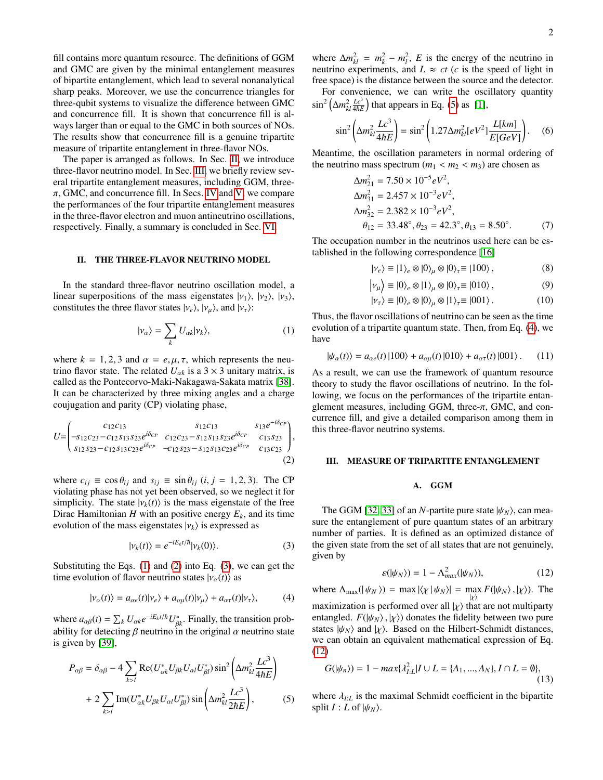fill contains more quantum resource. The definitions of GGM and GMC are given by the minimal entanglement measures of bipartite entanglement, which lead to several nonanalytical sharp peaks. Moreover, we use the concurrence triangles for three-qubit systems to visualize the difference between GMC and concurrence fill. It is shown that concurrence fill is always larger than or equal to the GMC in both sources of NOs. The results show that concurrence fill is a genuine tripartite measure of tripartite entanglement in three-flavor NOs.

The paper is arranged as follows. In Sec. [II,](#page-1-0) we introduce three-flavor neutrino model. In Sec. [III,](#page-1-1) we briefly review several tripartite entanglement measures, including GGM, three- $\pi$ , GMC, and concurrence fill. In Secs. [IV](#page-2-0) and [V,](#page-4-0) we compare the performances of the four tripartite entanglement measures in the three-flavor electron and muon antineutrino oscillations, respectively. Finally, a summary is concluded in Sec. [VI.](#page-5-0)

# <span id="page-1-0"></span>II. THE THREE-FLAVOR NEUTRINO MODEL

In the standard three-flavor neutrino oscillation model, a linear superpositions of the mass eigenstates  $|v_1\rangle$ ,  $|v_2\rangle$ ,  $|v_3\rangle$ , constitutes the three flavor states  $|v_e\rangle$ ,  $|v_\mu\rangle$ , and  $|v_\tau\rangle$ :

$$
|\nu_{\alpha}\rangle = \sum_{k} U_{\alpha k} |\nu_{k}\rangle, \tag{1}
$$

where  $k = 1, 2, 3$  and  $\alpha = e, \mu, \tau$ , which represents the neutrino flavor state. The related  $U_{\alpha k}$  is a 3  $\times$  3 unitary matrix, is called as the Pontecorvo-Maki-Nakagawa-Sakata matrix [\[38\]](#page-6-29). It can be characterized by three mixing angles and a charge coujugation and parity (CP) violating phase,

$$
U = \begin{pmatrix} c_{12}c_{13} & s_{12}c_{13} & s_{13}e^{-i\delta_{CP}} \\ -s_{12}c_{23} - c_{12}s_{13}s_{23}e^{i\delta_{CP}} & c_{12}c_{23} - s_{12}s_{13}s_{23}e^{i\delta_{CP}} & c_{13}s_{23} \\ s_{12}s_{23} - c_{12}s_{13}c_{23}e^{i\delta_{CP}} & -c_{12}s_{23} - s_{12}s_{13}c_{23}e^{i\delta_{CP}} & c_{13}c_{23} \end{pmatrix},
$$
\n
$$
(2)
$$

where  $c_{ij} \equiv \cos \theta_{ij}$  and  $s_{ij} \equiv \sin \theta_{ij}$  (*i*, *j* = 1, 2, 3). The CP violating phase has not yet been observed, so we neglect it for simplicity. The state  $|v_k(t)\rangle$  is the mass eigenstate of the free Dirac Hamiltonian *H* with an positive energy  $E_k$ , and its time evolution of the mass eigenstates  $|v_k\rangle$  is expressed as

$$
|\nu_k(t)\rangle = e^{-iE_k t/\hbar}|\nu_k(0)\rangle.
$$
 (3)

Substituting the Eqs. [\(1\)](#page-1-2) and [\(2\)](#page-1-3) into Eq. [\(3\)](#page-1-4), we can get the time evolution of flavor neutrino states  $|v_\alpha(t)\rangle$  as

$$
|\nu_{\alpha}(t)\rangle = a_{\alpha e}(t)|\nu_{e}\rangle + a_{\alpha \mu}(t)|\nu_{\mu}\rangle + a_{\alpha \tau}(t)|\nu_{\tau}\rangle, \tag{4}
$$

where  $a_{\alpha\beta}(t) = \sum_k U_{\alpha k}e^{-iE_k t/\hbar}U_{\beta k}^*$ . Finally, the transition prob-<br>ability for detecting *B* neutrino in the original  $\alpha$  neutrino state ability for detecting  $\beta$  neutrino in the original  $\alpha$  neutrino state is given by [\[39\]](#page-6-30),

<span id="page-1-5"></span>
$$
P_{\alpha\beta} = \delta_{\alpha\beta} - 4 \sum_{k>l} \text{Re}(U_{\alpha k}^* U_{\beta k} U_{\alpha l} U_{\beta l}^*) \sin^2 \left(\Delta m_{kl}^2 \frac{Lc^3}{4\hbar E}\right)
$$

$$
+ 2 \sum_{k>l} \text{Im}(U_{\alpha k}^* U_{\beta k} U_{\alpha l} U_{\beta l}^*) \sin \left(\Delta m_{kl}^2 \frac{Lc^3}{2\hbar E}\right), \tag{5}
$$

where  $\Delta m_{kl}^2 = m_k^2 - m_l^2$ , *E* is the energy of the neutrino in neutrino experiments, and  $L \approx ct$  (*c* is the speed of light in free space) is the distance between the source and the detector.

For convenience, we can write the oscillatory quantity  $\sin^2\left(\Delta m_{kl}^2 \frac{Lc^3}{4\hbar E}\right)$  that appears in Eq. [\(5\)](#page-1-5) as [\[1\]](#page-6-0),

$$
\sin^2\left(\Delta m_{kl}^2 \frac{Lc^3}{4\hbar E}\right) = \sin^2\left(1.27 \Delta m_{kl}^2 [eV^2] \frac{L[km]}{E[GeV]}\right). \tag{6}
$$

Meantime, the oscillation parameters in normal ordering of the neutrino mass spectrum  $(m_1 < m_2 < m_3)$  are chosen as

$$
\Delta m_{21}^2 = 7.50 \times 10^{-5} eV^2,
$$
  
\n
$$
\Delta m_{31}^2 = 2.457 \times 10^{-3} eV^2,
$$
  
\n
$$
\Delta m_{32}^2 = 2.382 \times 10^{-3} eV^2,
$$
  
\n
$$
\theta_{12} = 33.48^\circ, \theta_{23} = 42.3^\circ, \theta_{13} = 8.50^\circ.
$$
 (7)

The occupation number in the neutrinos used here can be established in the following correspondence [\[16\]](#page-6-9)

$$
|\nu_e\rangle \equiv |1\rangle_e \otimes |0\rangle_\mu \otimes |0\rangle_\tau \equiv |100\rangle , \qquad (8)
$$

$$
|\nu_{\mu}\rangle \equiv |0\rangle_{e} \otimes |1\rangle_{\mu} \otimes |0\rangle_{\tau} \equiv |010\rangle, \tag{9}
$$

$$
|\nu_{\tau}\rangle \equiv |0\rangle_e \otimes |0\rangle_{\mu} \otimes |1\rangle_{\tau} \equiv |001\rangle. \tag{10}
$$

<span id="page-1-2"></span>Thus, the flavor oscillations of neutrino can be seen as the time evolution of a tripartite quantum state. Then, from Eq. [\(4\)](#page-1-6), we have

$$
|\psi_{\alpha}(t)\rangle = a_{\alpha e}(t) |100\rangle + a_{\alpha \mu}(t) |010\rangle + a_{\alpha \tau}(t) |001\rangle. \tag{11}
$$

As a result, we can use the framework of quantum resource theory to study the flavor oscillations of neutrino. In the following, we focus on the performances of the tripartite entanglement measures, including GGM, three- $\pi$ , GMC, and concurrence fill, and give a detailed comparison among them in this three-flavor neutrino systems.

## <span id="page-1-3"></span><span id="page-1-1"></span>III. MEASURE OF TRIPARTITE ENTANGLEMENT

### <span id="page-1-7"></span>A. GGM

<span id="page-1-4"></span>The GGM [\[32,](#page-6-23) [33\]](#page-6-24) of an *N*-partite pure state  $|\psi_N\rangle$ , can measure the entanglement of pure quantum states of an arbitrary number of parties. It is defined as an optimized distance of the given state from the set of all states that are not genuinely, given by

<span id="page-1-8"></span>
$$
\varepsilon(|\psi_N\rangle) = 1 - \Lambda_{max}^2(|\psi_N\rangle),\tag{12}
$$

<span id="page-1-6"></span>where  $\Lambda_{\text{max}}(|\psi_N\rangle) = \max_{\{\chi\}} |\langle \chi | \psi_N \rangle| = \max_{\{\chi\}} F(|\psi_N\rangle, |\chi\rangle)$ . The maximization is performed over all  $|\chi\rangle$  that are not multiparty entangled.  $F(|\psi_N\rangle, |\chi\rangle)$  donates the fidelity between two pure states  $|\psi_N\rangle$  and  $|\chi\rangle$ . Based on the Hilbert-Schmidt distances, we can obtain an equivalent mathematical expression of Eq. [\(12\)](#page-1-7)

$$
G(|\psi_n\rangle) = 1 - \max\{\lambda_{I:L}^2 | I \cup L = \{A_1, ..., A_N\}, I \cap L = \emptyset\},\tag{13}
$$

where  $\lambda_{I:L}$  is the maximal Schmidt coefficient in the bipartite split  $I: L$  of  $|\psi_N\rangle$ .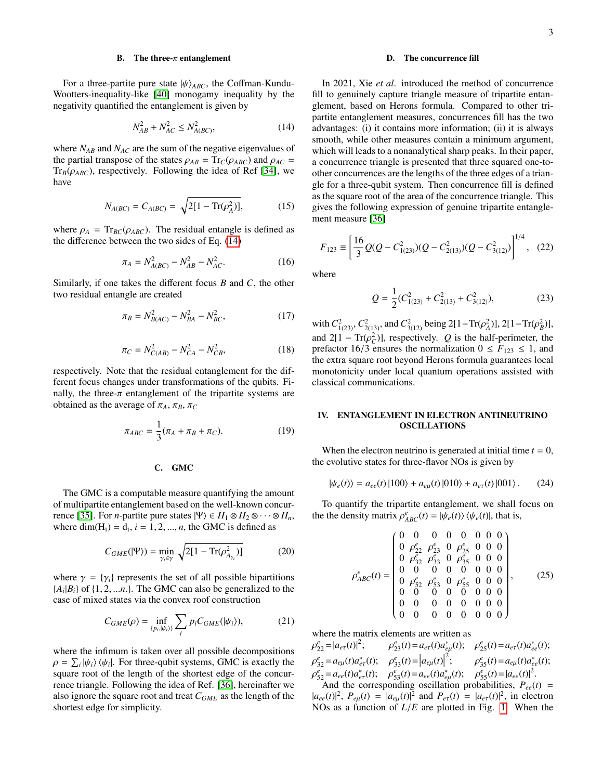### B. The three- $\pi$  entanglement

For a three-partite pure state  $|\psi\rangle_{ABC}$ , the Coffman-Kundu-Wootters-inequality-like [\[40\]](#page-6-31) monogamy inequality by the negativity quantified the entanglement is given by

$$
N_{AB}^2 + N_{AC}^2 \le N_{A(BC)}^2,\tag{14}
$$

where  $N_{AB}$  and  $N_{AC}$  are the sum of the negative eigenvalues of the partial transpose of the states  $\rho_{AB} = \text{Tr}_C(\rho_{ABC})$  and  $\rho_{AC} =$  $Tr_B(\rho_{ABC})$ , respectively. Following the idea of Ref [\[34\]](#page-6-25), we have

$$
N_{A(BC)} = C_{A(BC)} = \sqrt{2[1 - \text{Tr}(\rho_A^2)]},
$$
 (15)

where  $\rho_A = Tr_{BC}(\rho_{ABC})$ . The residual entangle is defined as the difference between the two sides of Eq. [\(14\)](#page-2-1)

$$
\pi_A = N_{A(BC)}^2 - N_{AB}^2 - N_{AC}^2. \tag{16}
$$

Similarly, if one takes the different focus *B* and *C*, the other two residual entangle are created

$$
\pi_B = N_{B(AC)}^2 - N_{BA}^2 - N_{BC}^2,\tag{17}
$$

$$
\pi_C = N_{C(AB)}^2 - N_{CA}^2 - N_{CB}^2,\tag{18}
$$

respectively. Note that the residual entanglement for the different focus changes under transformations of the qubits. Finally, the three- $\pi$  entanglement of the tripartite systems are obtained as the average of  $\pi_A$ ,  $\pi_B$ ,  $\pi_C$ 

$$
\pi_{ABC} = \frac{1}{3}(\pi_A + \pi_B + \pi_C). \tag{19}
$$

# C. GMC

The GMC is a computable measure quantifying the amount of multipartite entanglement based on the well-known concur-rence [\[35\]](#page-6-26). For *n*-partite pure states  $|\Psi\rangle \in H_1 \otimes H_2 \otimes \cdots \otimes H_n$ , where dim( $H_i$ ) =  $d_i$ ,  $i = 1, 2, ..., n$ , the GMC is defined as

$$
C_{GME}(|\Psi\rangle) = \min_{\gamma_i \in \gamma} \sqrt{2[1 - \text{Tr}(\rho_{A_{\gamma_i}}^2)]}
$$
(20)

where  $\gamma = {\gamma_i}$  represents the set of all possible bipartitions  ${A_i | B_i}$  of  ${1, 2, \ldots n}$ . The GMC can also be generalized to the case of mixed states via the convex roof construction case of mixed states via the convex roof construction

$$
C_{GME}(\rho) = \inf_{\{p_i, |\psi_i\rangle\}} \sum_i p_i C_{GME}(|\psi_i\rangle),\tag{21}
$$

where the infimum is taken over all possible decompositions  $\rho = \sum_i |\psi_i\rangle\langle\psi_i|$ . For three-qubit systems, GMC is exactly the source root of the length of the shortest edge of the concursquare root of the length of the shortest edge of the concurrence triangle. Following the idea of Ref. [\[36\]](#page-6-27), hereinafter we also ignore the square root and treat *CGME* as the length of the shortest edge for simplicity.

### D. The concurrence fill

<span id="page-2-1"></span>In 2021, Xie *et al*. introduced the method of concurrence fill to genuinely capture triangle measure of tripartite entanglement, based on Herons formula. Compared to other tripartite entanglement measures, concurrences fill has the two advantages: (i) it contains more information; (ii) it is always smooth, while other measures contain a minimum argument, which will leads to a nonanalytical sharp peaks. In their paper, a concurrence triangle is presented that three squared one-toother concurrences are the lengths of the three edges of a triangle for a three-qubit system. Then concurrence fill is defined as the square root of the area of the concurrence triangle. This gives the following expression of genuine tripartite entanglement measure [\[36\]](#page-6-27)

<span id="page-2-2"></span>
$$
F_{123} \equiv \left[ \frac{16}{3} Q(Q - C_{1(23)}^2)(Q - C_{2(13)}^2)(Q - C_{3(12)}^2) \right]^{1/4}, \quad (22)
$$

<span id="page-2-3"></span>where

<span id="page-2-5"></span>
$$
Q = \frac{1}{2} (C_{1(23)}^2 + C_{2(13)}^2 + C_{3(12)}^2),
$$
 (23)

with  $C_{1(23)}^2$ ,  $C_{2(13)}^2$ , and  $C_{3(12)}^2$  being 2[1–Tr( $\rho_A^2$ )], 2[1–Tr( $\rho_B^2$ )], and  $2[1 - Tr(\rho_C^2)]$ , respectively. *Q* is the half-perimeter, the period of  $\epsilon F_{122} \leq 1$  and prefactor 16/3 ensures the normalization  $0 \leq F_{123} \leq 1$ , and the extra square root beyond Herons formula guarantees local monotonicity under local quantum operations assisted with classical communications.

### <span id="page-2-0"></span>IV. ENTANGLEMENT IN ELECTRON ANTINEUTRINO OSCILLATIONS

When the electron neutrino is generated at initial time  $t = 0$ , the evolutive states for three-flavor NOs is given by

$$
|\psi_e(t)\rangle = a_{ee}(t)|100\rangle + a_{e\mu}(t)|010\rangle + a_{e\tau}(t)|001\rangle. \tag{24}
$$

<span id="page-2-4"></span>To quantify the tripartite entanglement, we shall focus on the the density matrix  $\rho_{ABC}^e(t) = |\psi_e(t)\rangle \langle \psi_e(t)|$ , that is,

$$
\rho_{ABC}^{e}(t) = \begin{pmatrix}\n0 & 0 & 0 & 0 & 0 & 0 & 0 \\
0 & \rho_{22}^{e} & \rho_{23}^{e} & 0 & \rho_{25}^{e} & 0 & 0 & 0 \\
0 & \rho_{32}^{e} & \rho_{33}^{e} & 0 & \rho_{35}^{e} & 0 & 0 & 0 \\
0 & 0 & 0 & 0 & 0 & 0 & 0 & 0 \\
0 & \rho_{52}^{e} & \rho_{53}^{e} & 0 & \rho_{55}^{e} & 0 & 0 & 0 \\
0 & 0 & 0 & 0 & 0 & 0 & 0 & 0 \\
0 & 0 & 0 & 0 & 0 & 0 & 0 & 0 \\
0 & 0 & 0 & 0 & 0 & 0 & 0 & 0\n\end{pmatrix}, \quad (25)
$$

where the matrix elements are written as

 $\rho_{22}^{e} = |a_{e\tau}(t)|^2;$   $\rho_{23}^{e}(t) = a_{e\tau}(t)a_{e\mu}^{*}$ <br>  $\rho_{32}^{e} = a_{e\mu}(t)a_{e\tau}^{*}(t);$   $\rho_{33}^{e}(t) = |a_{e\mu}(t)|^2;$  $e_{22}^e = |a_{e\tau}(t)|^2$  $e_{23}(t) = a_{e\tau}(t)a_{e\mu}^*(t);$   $\rho_{25}^e(t) = a_{e\tau}(t)a_{ee}^*(t);$  $\rho_{32}^e = a_{e\mu}(t)a_{e\tau}^*(t);$   $\rho_{33}^e(t) = |a_{e\mu}(t)|^2;$   $\rho_{e\tau}^e = a_{e\tau}(t)a_{e\tau}^*(t);$   $\rho_{e\tau}^e(t) = a_{e\tau}(t)a_{e\tau}^*(t);$ 2  $e_{35}^e(t) = a_{e\mu}(t)a_{ee}^*(t);$ ρ  $e_{52} = a_{ee}(t)a_{e\tau}^*(t);$   $\rho_{53}^e(t) = a_{ee}(t)a_{e\mu}^*(t);$   $\rho_{55}^e(t) = |a_{ee}(t)|^2$ <br>And the corresponding oscillation probabilities *P* And the corresponding oscillation probabilities,  $P_{ee}(t)$  =

 $|a_{ee}(t)|^2$ ,  $P_{e\mu}(t) = |a_{e\mu}(t)|^2$  and  $P_{e\tau}(t) = |a_{e\tau}(t)|^2$ , in electron<br>NOs as a function of  $I/E$  are plotted in Fig. 1. When the NOs as a function of *<sup>L</sup>*/*<sup>E</sup>* are plotted in Fig. [1.](#page-3-0) When the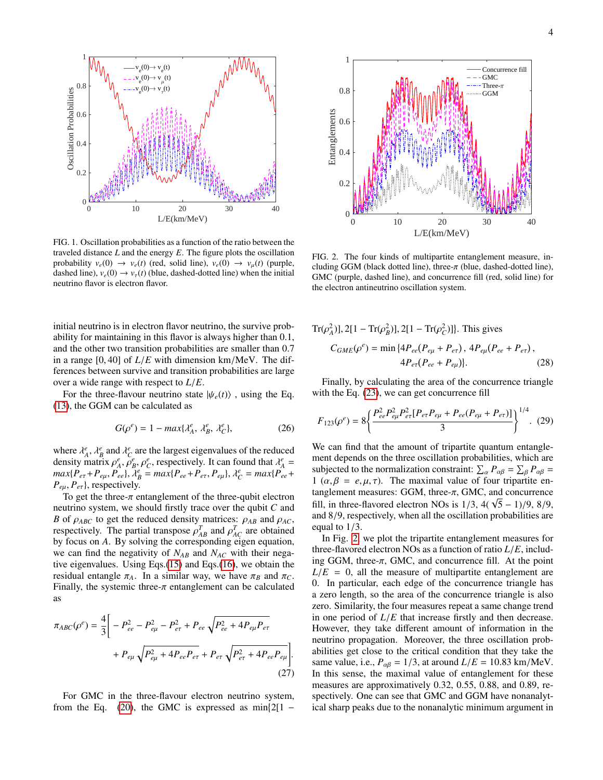

<span id="page-3-0"></span>FIG. 1. Oscillation probabilities as a function of the ratio between the traveled distance *L* and the energy *E*. The figure plots the oscillation probability  $v_e(0) \rightarrow v_e(t)$  (red, solid line),  $v_e(0) \rightarrow v_\mu(t)$  (purple, dashed line),  $v_e(0) \rightarrow v_\tau(t)$  (blue, dashed-dotted line) when the initial neutrino flavor is electron flavor.

initial neutrino is in electron flavor neutrino, the survive probability for maintaining in this flavor is always higher than 0.1, and the other two transition probabilities are smaller than 0.<sup>7</sup> in a range [0, 40] of *<sup>L</sup>*/*<sup>E</sup>* with dimension km/MeV. The differences between survive and transition probabilities are large over a wide range with respect to *<sup>L</sup>*/*E*.

For the three-flavour neutrino state  $|\psi_e(t)\rangle$ , using the Eq. [\(13\)](#page-1-8), the GGM can be calculated as

$$
G(\rho^e) = 1 - \max\{\lambda_A^e, \lambda_B^e, \lambda_C^e\},\tag{26}
$$

where  $\lambda_A^e$ ,  $\lambda_B^e$  and  $\lambda_C^e$  are the largest eigenvalues of the reduced density matrix  $\rho_e^e$   $\rho_e^e$  respectively. It can found that  $\lambda_e^e$  – density matrix  $\rho_A^e, \rho_B^e, \rho_C^e$ , respectively. It can found that  $\lambda_A^e =$ <br>*max*{*P*<sub>→</sub> + *P*<sub>→</sub> *P*<sub>→</sub> *A*<sup>*e*</sup> = *max*{*P*<sub>→</sub> + *P*<sub>→</sub> *D*<sub>→</sub> *A*<sup>*e*</sup> = *max*{*P*<sub>→</sub> +  $\lim_{P \to P} \frac{P_{e\mu}}{P}$ ,  $\lim_{P \to P} \frac{P_{ee}}{P}$ ,  $\lim_{P \to P} \frac{P_{ee}}{P}$ ,  $P_{ee}$ ,  $P_{e\mu}$ ,  $P_{ee}$  +  $P_{e\mu}$ ,  $P_{e\tau}$ }, respectively.

To get the three- $\pi$  entanglement of the three-qubit electron neutrino system, we should firstly trace over the qubit *C* and *B* of  $\rho_{ABC}$  to get the reduced density matrices:  $\rho_{AB}$  and  $\rho_{AC}$ , respectively. The partial transpose  $\rho^T$  and  $\rho^T$  are obtained respectively. The partial transpose  $\rho_{AB}^T$  and  $\rho_{AC}^T$  are obtained<br>by focus on A. By solving the corresponding eigen equation by focus on *A*. By solving the corresponding eigen equation, we can find the negativity of  $N_{AB}$  and  $N_{AC}$  with their negative eigenvalues. Using Eqs.[\(15\)](#page-2-2) and Eqs.[\(16\)](#page-2-3), we obtain the residual entangle  $\pi_A$ . In a similar way, we have  $\pi_B$  and  $\pi_C$ . Finally, the systemic three- $\pi$  entanglement can be calculated as

$$
\pi_{ABC}(\rho^e) = \frac{4}{3} \bigg[ -P_{ee}^2 - P_{e\mu}^2 - P_{e\tau}^2 + P_{ee} \sqrt{P_{ee}^2 + 4P_{e\mu}P_{e\tau}} + P_{e\mu} \sqrt{P_{e\mu}^2 + 4P_{ee}P_{e\tau} + P_{e\tau} \sqrt{P_{e\tau}^2 + 4P_{ee}P_{e\mu}} \bigg].
$$
\n(27)

For GMC in the three-flavour electron neutrino system, from the Eq.  $(20)$ , the GMC is expressed as  $min{2[1 -}$ 



<span id="page-3-1"></span>FIG. 2. The four kinds of multipartite entanglement measure, including GGM (black dotted line), three- $\pi$  (blue, dashed-dotted line), GMC (purple, dashed line), and concurrence fill (red, solid line) for the electron antineutrino oscillation system.

$$
\text{Tr}(\rho_A^2)], 2[1 - \text{Tr}(\rho_B^2)], 2[1 - \text{Tr}(\rho_C^2)]\}. \text{ This gives}
$$
\n
$$
C_{GME}(\rho^e) = \min\{4P_{ee}(P_{e\mu} + P_{e\tau}), 4P_{e\mu}(P_{ee} + P_{e\tau}),
$$
\n
$$
4P_{e\tau}(P_{ee} + P_{e\mu})\}.\tag{28}
$$

Finally, by calculating the area of the concurrence triangle with the Eq. [\(23\)](#page-2-5), we can get concurrence fill

$$
F_{123}(\rho^e) = 8 \bigg\{ \frac{P_{ee}^2 P_{e\mu}^2 P_{e\tau}^2 [P_{e\tau} P_{e\mu} + P_{ee} (P_{e\mu} + P_{e\tau})]}{3} \bigg\}^{1/4}.
$$
 (29)

We can find that the amount of tripartite quantum entanglement depends on the three oscillation probabilities, which are subjected to the normalization constraint:  $\sum_{\alpha} P_{\alpha\beta} = \sum_{\beta} P_{\alpha\beta} =$ <br>1 ( $\alpha, \beta, \gamma, \gamma$ ). The maximal value of four tripartite and 1 ( $\alpha, \beta = e, \mu, \tau$ ). The maximal value of four tripartite entanglement measures: GGM, three-π, GMC, and concurrence fill, in three-flavored electron NOs is  $1/3$ ,  $4(\sqrt{5} - 1)/9$ ,  $8/9$ , and  $8/9$  respectively when all the oscillation probabilities are and 8/9, respectively, when all the oscillation probabilities are equal to 1/3.

In Fig. [2,](#page-3-1) we plot the tripartite entanglement measures for three-flavored electron NOs as a function of ratio *<sup>L</sup>*/*E*, including GGM, three- $\pi$ , GMC, and concurrence fill. At the point  $L/E = 0$ , all the measure of multipartite entanglement are 0. In particular, each edge of the concurrence triangle has a zero length, so the area of the concurrence triangle is also zero. Similarity, the four measures repeat a same change trend in one period of *<sup>L</sup>*/*<sup>E</sup>* that increase firstly and then decrease. However, they take different amount of information in the neutrino propagation. Moreover, the three oscillation probabilities get close to the critical condition that they take the same value, i.e.,  $P_{\alpha\beta} = 1/3$ , at around  $L/E = 10.83$  km/MeV. In this sense, the maximal value of entanglement for these measures are approximatively 0.32, 0.55, 0.88, and 0.89, respectively. One can see that GMC and GGM have nonanalytical sharp peaks due to the nonanalytic minimum argument in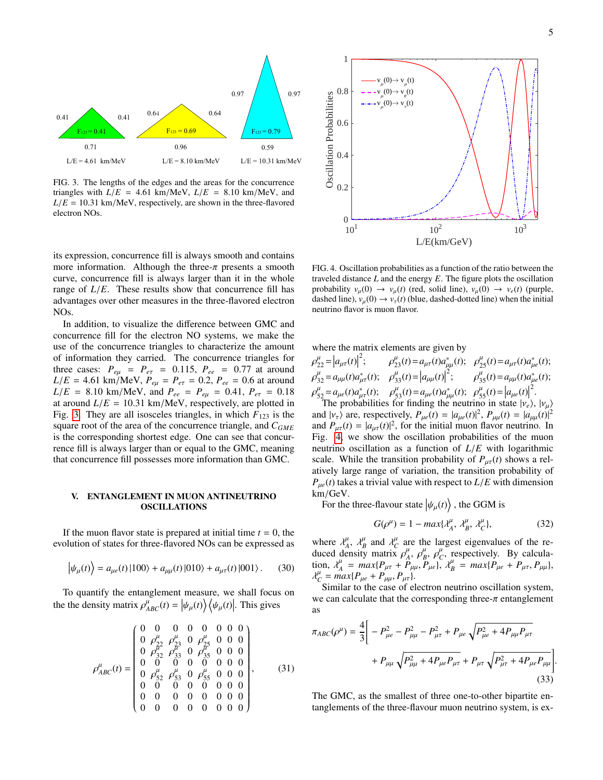

<span id="page-4-1"></span>FIG. 3. The lengths of the edges and the areas for the concurrence triangles with  $L/E = 4.61$  km/MeV,  $L/E = 8.10$  km/MeV, and  $L/E = 10.31$  km/MeV, respectively, are shown in the three-flavored electron NOs.

its expression, concurrence fill is always smooth and contains more information. Although the three- $\pi$  presents a smooth curve, concurrence fill is always larger than it in the whole range of  $L/E$ . These results show that concurrence fill has advantages over other measures in the three-flavored electron NOs.

In addition, to visualize the difference between GMC and concurrence fill for the electron NO systems, we make the use of the concurrence triangles to characterize the amount of information they carried. The concurrence triangles for three cases:  $P_{e\mu} = P_{e\tau} = 0.115$ ,  $P_{ee} = 0.77$  at around  $L/E = 4.61$  km/MeV,  $P_{e\mu} = P_{e\tau} = 0.2$ ,  $P_{ee} = 0.6$  at around  $L/E = 8.10 \text{ km/MeV}$ , and  $P_{ee} = P_{e\mu} = 0.41$ ,  $P_{e\tau} = 0.18$ at around  $L/E = 10.31$  km/MeV, respectively, are plotted in Fig. [3.](#page-4-1) They are all isosceles triangles, in which  $F_{123}$  is the square root of the area of the concurrence triangle, and *CGME* is the corresponding shortest edge. One can see that concurrence fill is always larger than or equal to the GMC, meaning that concurrence fill possesses more information than GMC.

## <span id="page-4-0"></span>V. ENTANGLEMENT IN MUON ANTINEUTRINO OSCILLATIONS

If the muon flavor state is prepared at initial time  $t = 0$ , the evolution of states for three-flavored NOs can be expressed as

$$
\left|\psi_{\mu}(t)\right\rangle = a_{\mu e}(t)\left|100\right\rangle + a_{\mu\mu}(t)\left|010\right\rangle + a_{\mu\tau}(t)\left|001\right\rangle. \tag{30}
$$

To quantify the entanglement measure, we shall focus on the the density matrix  $\rho_{ABC}^{\mu}(t) = |\psi_{\mu}(t)\rangle \langle \psi_{\mu}(t)|$ . This gives

$$
\rho_{ABC}^{\mu}(t) = \begin{pmatrix}\n0 & 0 & 0 & 0 & 0 & 0 & 0 \\
0 & \rho_{22}^{\mu} & \rho_{23}^{\mu} & 0 & \rho_{25}^{\mu} & 0 & 0 & 0 \\
0 & \rho_{32}^{\mu} & \rho_{33}^{\mu} & 0 & \rho_{35}^{\mu} & 0 & 0 & 0 \\
0 & 0 & 0 & 0 & 0 & 0 & 0 & 0 \\
0 & \rho_{52}^{\mu} & \rho_{53}^{\mu} & 0 & \rho_{55}^{\mu} & 0 & 0 & 0 \\
0 & \rho_{52}^{\mu} & \rho_{53}^{\mu} & 0 & \rho_{55}^{\mu} & 0 & 0 & 0 \\
0 & 0 & 0 & 0 & 0 & 0 & 0 & 0 \\
0 & 0 & 0 & 0 & 0 & 0 & 0 & 0 \\
0 & 0 & 0 & 0 & 0 & 0 & 0 & 0\n\end{pmatrix},
$$
\n(31)



<span id="page-4-2"></span>FIG. 4. Oscillation probabilities as a function of the ratio between the traveled distance *L* and the energy *E*. The figure plots the oscillation probability  $v_\mu(0) \to v_\mu(t)$  (red, solid line),  $v_\mu(0) \to v_e(t)$  (purple, dashed line),  $v_u(0) \rightarrow v_\tau(t)$  (blue, dashed-dotted line) when the initial neutrino flavor is muon flavor.

where the matrix elements are given by

$$
\rho_{22}^{\mu} = |a_{\mu\tau}(t)|^2; \qquad \rho_{23}^{\mu}(t) = a_{\mu\tau}(t)a_{\mu\mu}^*(t); \qquad \rho_{25}^{\mu}(t) = a_{\mu\tau}(t)a_{\mu e}^*(t);
$$
\n
$$
\rho_{32}^{\mu} = a_{\mu\mu}(t)a_{\mu\tau}^*(t); \qquad \rho_{33}^{\mu}(t) = |a_{\mu\mu}(t)|^2; \qquad \rho_{35}^{\mu}(t) = a_{\mu\mu}(t)a_{\mu e}^*(t);
$$
\n
$$
\rho_{52}^{\mu} = a_{\mu e}(t)a_{\mu\tau}^*(t); \qquad \rho_{53}^{\mu}(t) = a_{\mu e}(t)a_{\mu\mu}^*(t); \qquad \rho_{55}^{\mu}(t) = |a_{\mu e}(t)|^2.
$$
\nThe probabilities for finding the neutrino in state  $|v_e\rangle$ ,  $|v_{\mu}\rangle$  and  $|v_{\tau}\rangle$  are, respectively,  $P_{\mu e}(t) = |a_{\mu e}(t)|^2$ ,  $P_{\mu\mu}(t) = |a_{\mu\mu}(t)|^2$  and  $P_{\mu\tau}(t) = |a_{\mu\tau}(t)|^2$ , for the initial muon flavor neutrino. In Fig. 4, we show the oscillation probabilities of the muon neutrino oscillation as a function of  $L/E$  with logarithmic scale. While the transition probability of  $P_{\mu\tau}(t)$  shows a relatively large range of variation, the transition probability of  $P_{\mu e}(t)$  takes a trivial value with respect to  $L/E$  with dimension km/GeV.

km/GeV.<br>For the three-flavour state  $|\psi_{\mu}(t)\rangle$ , the GGM is

$$
G(\rho^{\mu}) = 1 - \max\{\lambda_A^{\mu}, \lambda_B^{\mu}, \lambda_C^{\mu}\},\tag{32}
$$

where  $\lambda_A^{\mu}$ ,  $\lambda_B^{\mu}$  and  $\lambda_C^{\mu}$  are the largest eigenvalues of the re-<br>duced density matrix  $\alpha^{\mu}$   $\alpha^{\mu}$  are respectively. By calculaduced density matrix  $\rho_A^{\mu}$ ,  $\rho_B^{\mu}$ ,  $\rho_C^{\mu}$ , respectively. By calcula-<br>tion  $\frac{\partial^{\mu}}{\partial t} = \frac{max\{P_1 + P_2\}}{max\{P_1 + P_2\}}$ tion,  $\lambda^{\mu}_{A} = max\{P_{\mu\tau} + P_{\mu\mu}, P_{\mu e}\}, \lambda^{\mu}_{B} = max\{P_{\mu e} + P_{\mu\tau}, P_{\mu\mu}\},\lambda^{\mu}_{B} = max\{P_{\mu e} + P_{\mu\tau}, P_{\mu\mu}\},\lambda^{\mu}_{B} = max\{P_{\mu e} + P_{\mu\tau}, P_{\mu\mu}\},\lambda^{\mu}_{B} = max\{P_{\mu e} + P_{\mu\tau}, P_{\mu\mu}\},\lambda^{\mu}_{B} = max\{P_{\mu e} + P_{\mu\tau}, P_{\mu\mu}\},\lambda^{\mu}_{B} = max$  $\lambda_C^{\mu} = max\{P_{\mu e} + P_{\mu \mu}, P_{\mu \tau}\}.$ <br>Similar to the case of el

Similar to the case of electron neutrino oscillation system, we can calculate that the corresponding three- $\pi$  entanglement as

$$
\pi_{ABC}(\rho^{\mu}) = \frac{4}{3} \bigg[ -P_{\mu e}^2 - P_{\mu\mu}^2 - P_{\mu\tau}^2 + P_{\mu e} \sqrt{P_{\mu e}^2 + 4P_{\mu\mu}P_{\mu\tau}} + P_{\mu\mu} \sqrt{P_{\mu\mu}^2 + 4P_{\mu e}P_{\mu\tau} + P_{\mu\tau} \sqrt{P_{\mu\tau}^2 + 4P_{\mu e}P_{\mu\mu}}} \bigg]
$$
\n(33)

The GMC, as the smallest of three one-to-other bipartite entanglements of the three-flavour muon neutrino system, is ex-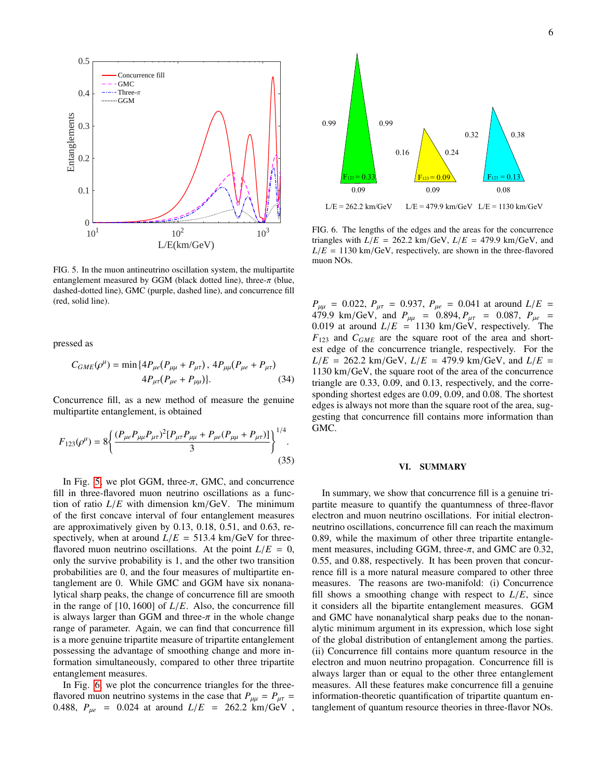

<span id="page-5-1"></span>FIG. 5. In the muon antineutrino oscillation system, the multipartite entanglement measured by GGM (black dotted line), three- $\pi$  (blue, dashed-dotted line), GMC (purple, dashed line), and concurrence fill (red, solid line).

pressed as

$$
C_{GME}(\rho^{\mu}) = \min \{ 4P_{\mu e}(P_{\mu\mu} + P_{\mu\tau}), 4P_{\mu\mu}(P_{\mu e} + P_{\mu\tau}) \newline 4P_{\mu\tau}(P_{\mu e} + P_{\mu\mu}) \}. \tag{34}
$$

Concurrence fill, as a new method of measure the genuine multipartite entanglement, is obtained

$$
F_{123}(\rho^{\mu}) = 8 \left\{ \frac{(P_{\mu e} P_{\mu \mu} P_{\mu \tau})^2 [P_{\mu \tau} P_{\mu \mu} + P_{\mu e} (P_{\mu \mu} + P_{\mu \tau})]}{3} \right\}^{1/4}.
$$
\n(35)

In Fig. [5,](#page-5-1) we plot GGM, three- $\pi$ , GMC, and concurrence fill in three-flavored muon neutrino oscillations as a function of ratio  $L/E$  with dimension km/GeV. The minimum of the first concave interval of four entanglement measures are approximatively given by 0.13, 0.18, 0.51, and 0.63, respectively, when at around  $L/E = 513.4$  km/GeV for threeflavored muon neutrino oscillations. At the point  $L/E = 0$ , only the survive probability is 1, and the other two transition probabilities are 0, and the four measures of multipartite entanglement are 0. While GMC and GGM have six nonanalytical sharp peaks, the change of concurrence fill are smooth in the range of [10, 1600] of *<sup>L</sup>*/*E*. Also, the concurrence fill is always larger than GGM and three- $\pi$  in the whole change range of parameter. Again, we can find that concurrence fill is a more genuine tripartite measure of tripartite entanglement possessing the advantage of smoothing change and more information simultaneously, compared to other three tripartite entanglement measures.

In Fig. [6,](#page-5-2) we plot the concurrence triangles for the threeflavored muon neutrino systems in the case that  $P_{\mu\mu} = P_{\mu\tau} =$ 0.488,  $P_{\mu e}$  = 0.024 at around  $L/E$  = 262.2 km/GeV,



<span id="page-5-2"></span>FIG. 6. The lengths of the edges and the areas for the concurrence triangles with  $L/E = 262.2$  km/GeV,  $L/E = 479.9$  km/GeV, and  $L/E = 1130 \text{ km/GeV}$ , respectively, are shown in the three-flavored muon NOs.

*P*<sub>HH</sub> = 0.022,  $P_{\mu\tau} = 0.937$ ,  $P_{\mu e} = 0.041$  at around  $L/E = 479.9$  km/GeV and  $P_{\mu e} = 0.894$   $P_{\mu e} = 0.087$   $P_{\mu e} = 0.087$  $479.9 \text{ km/GeV}$ , and  $P_{\mu\mu} = 0.894$ ,  $P_{\mu\tau} = 0.087$ ,  $P_{\mu e} = 0.019$  at around  $I/F = 1130$  km/GeV, respectively. The 0.019 at around  $L/E = 1130 \text{ km/GeV}$ , respectively. The *F*<sup>123</sup> and *CGME* are the square root of the area and shortest edge of the concurrence triangle, respectively. For the  $L/E = 262.2$  km/GeV,  $L/E = 479.9$  km/GeV, and  $L/E =$ 1130 km/GeV, the square root of the area of the concurrence triangle are 0.33, 0.09, and 0.13, respectively, and the corresponding shortest edges are 0.09, 0.09, and 0.08. The shortest edges is always not more than the square root of the area, suggesting that concurrence fill contains more information than GMC.

#### <span id="page-5-0"></span>VI. SUMMARY

In summary, we show that concurrence fill is a genuine tripartite measure to quantify the quantumness of three-flavor electron and muon neutrino oscillations. For initial electronneutrino oscillations, concurrence fill can reach the maximum <sup>0</sup>.89, while the maximum of other three tripartite entanglement measures, including GGM, three- $\pi$ , and GMC are 0.32, <sup>0</sup>.55, and 0.88, respectively. It has been proven that concurrence fill is a more natural measure compared to other three measures. The reasons are two-manifold: (i) Concurrence fill shows a smoothing change with respect to  $L/E$ , since it considers all the bipartite entanglement measures. GGM and GMC have nonanalytical sharp peaks due to the nonanalytic minimum argument in its expression, which lose sight of the global distribution of entanglement among the parties. (ii) Concurrence fill contains more quantum resource in the electron and muon neutrino propagation. Concurrence fill is always larger than or equal to the other three entanglement measures. All these features make concurrence fill a genuine information-theoretic quantification of tripartite quantum entanglement of quantum resource theories in three-flavor NOs.